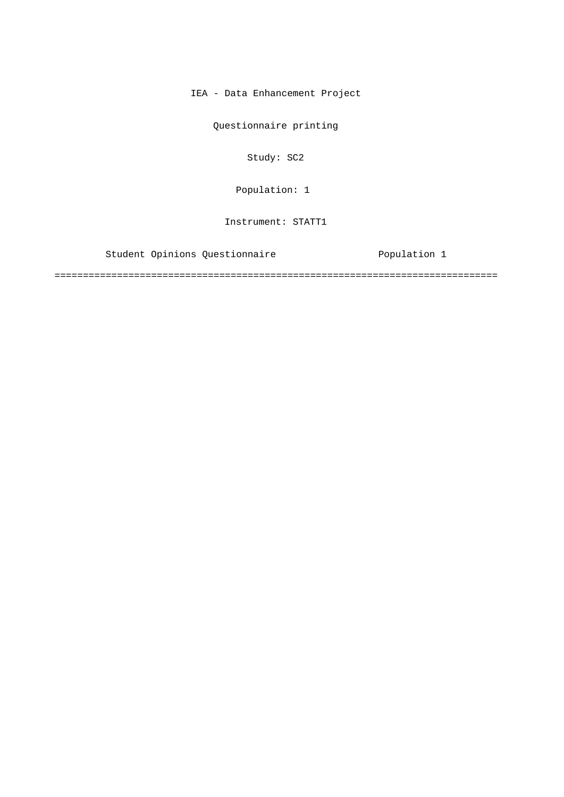IEA - Data Enhancement Project

Questionnaire printing

Study: SC2

Population: 1

Instrument: STATT1

Student Opinions Questionnaire **Exercice Population 1** 

==============================================================================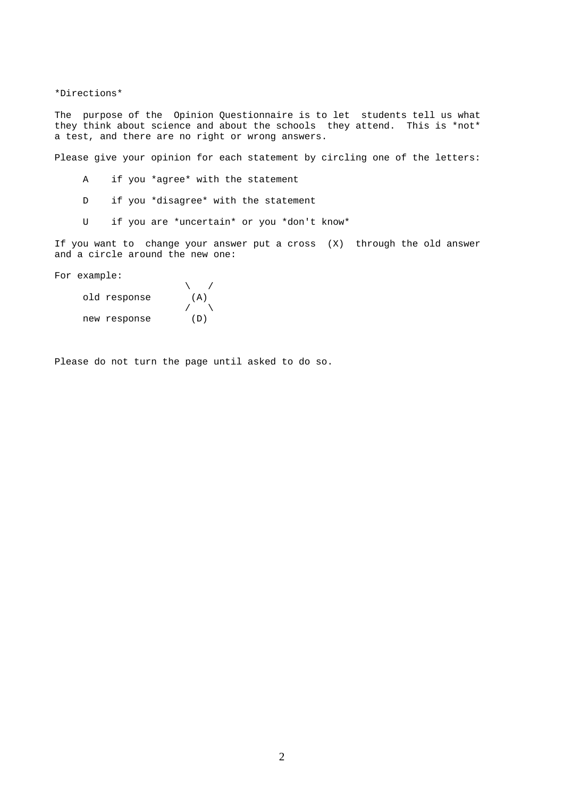\*Directions\*

The purpose of the Opinion Questionnaire is to let students tell us what they think about science and about the schools they attend. This is \*not\* a test, and there are no right or wrong answers.

Please give your opinion for each statement by circling one of the letters:

- A if you \*agree\* with the statement
- D if you \*disagree\* with the statement
- U if you are \*uncertain\* or you \*don't know\*

If you want to change your answer put a cross (X) through the old answer and a circle around the new one:

For example:

| old response | (A) |
|--------------|-----|
|              |     |
| new response | (D) |

Please do not turn the page until asked to do so.